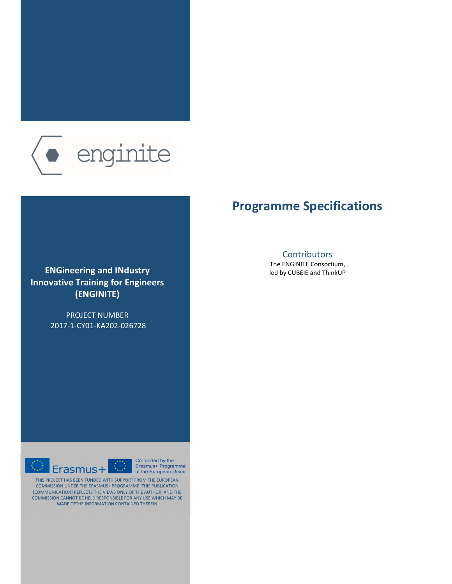

### **Programme Specifications**

### **ENGineering and IΝdustry Innovative Training for Engineers (ENGINITE)**

PROJECT NUMBER 2017-1-CY01-KA202-026728



The ENGINITE Consortium, led by CUBEIE and ThinkUP





THIS PROJECT HAS BEEN FUNDED WITH SUPPORT FROM THE EUROPEAN COMMISSION UNDER THE ERASMUS+ PROGRAMME. THIS PUBLICATION [COMMUNICATION] REFLECTS THE VIEWS ONLY OF THE AUTHOR, AND THE COMMISSION CANNOT BE HELD RESPONSIBLE FOR ANY USE WHICH MAY BE MADE OFTHE INFORMATION CONTAINED THEREIN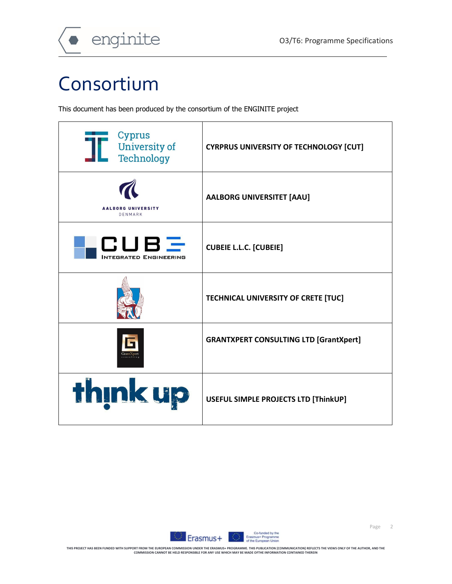

## Consortium

This document has been produced by the consortium of the ENGINITE project

| Cyprus<br>University of<br>Technology | <b>CYRPRUS UNIVERSITY OF TECHNOLOGY [CUT]</b> |
|---------------------------------------|-----------------------------------------------|
| <b>AALBORG UNIVERSITY</b><br>DENMARK  | <b>AALBORG UNIVERSITET [AAU]</b>              |
| CUBE<br><b>INTEGRATED ENGINEERING</b> | <b>CUBEIE L.L.C. [CUBEIE]</b>                 |
|                                       | TECHNICAL UNIVERSITY OF CRETE [TUC]           |
|                                       | <b>GRANTXPERT CONSULTING LTD [GrantXpert]</b> |
| think up                              | USEFUL SIMPLE PROJECTS LTD [ThinkUP]          |

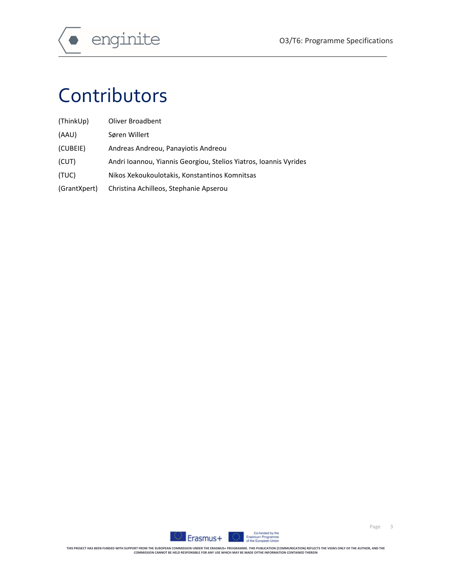

# Contributors

| (ThinkUp)    | Oliver Broadbent                                                  |
|--------------|-------------------------------------------------------------------|
| (AAU)        | Søren Willert                                                     |
| (CUBEIE)     | Andreas Andreou, Panaviotis Andreou                               |
| (CUT)        | Andri Ioannou, Yiannis Georgiou, Stelios Yiatros, Ioannis Vyrides |
| (TUC)        | Nikos Xekoukoulotakis, Konstantinos Komnitsas                     |
| (GrantXpert) | Christina Achilleos, Stephanie Apserou                            |

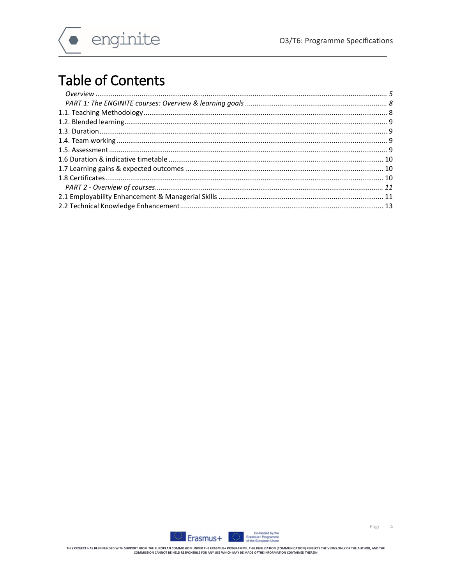$\overline{r}$ 



## **Table of Contents**

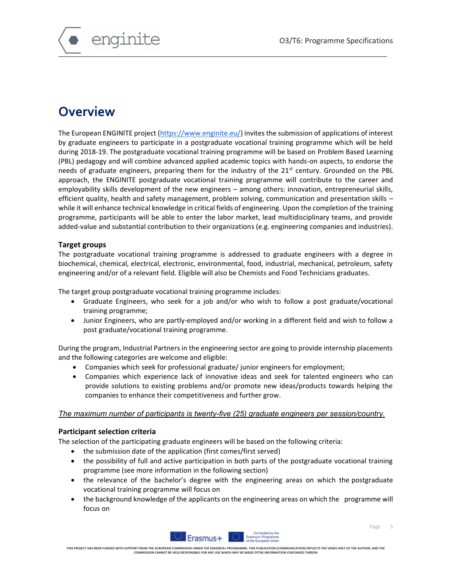

### **Overview**

The European ENGINITE project (https://www.enginite.eu/) invites the submission of applications of interest by graduate engineers to participate in a postgraduate vocational training programme which will be held during 2018-19. The postgraduate vocational training programme will be based on Problem Based Learning (PBL) pedagogy and will combine advanced applied academic topics with hands-on aspects, to endorse the needs of graduate engineers, preparing them for the industry of the 21<sup>st</sup> century. Grounded on the PBL approach, the ENGINITE postgraduate vocational training programme will contribute to the career and employability skills development of the new engineers – among others: innovation, entrepreneurial skills, efficient quality, health and safety management, problem solving, communication and presentation skills – while it will enhance technical knowledge in critical fields of engineering. Upon the completion of the training programme, participants will be able to enter the labor market, lead multidisciplinary teams, and provide added-value and substantial contribution to their organizations (e.g. engineering companies and industries).

### **Target groups**

The postgraduate vocational training programme is addressed to graduate engineers with a degree in biochemical, chemical, electrical, electronic, environmental, food, industrial, mechanical, petroleum, safety engineering and/or of a relevant field. Eligible will also be Chemists and Food Technicians graduates.

The target group postgraduate vocational training programme includes:

- Graduate Engineers, who seek for a job and/or who wish to follow a post graduate/vocational training programme;
- Junior Engineers, who are partly-employed and/or working in a different field and wish to follow a post graduate/vocational training programme.

During the program, Industrial Partners in the engineering sector are going to provide internship placements and the following categories are welcome and eligible:

- Companies which seek for professional graduate/ junior engineers for employment;
- Companies which experience lack of innovative ideas and seek for talented engineers who can provide solutions to existing problems and/or promote new ideas/products towards helping the companies to enhance their competitiveness and further grow.

### *The maximum number of participants is twenty-five (25) graduate engineers per session/country.*

### **Participant selection criteria**

The selection of the participating graduate engineers will be based on the following criteria:

- the submission date of the application (first comes/first served)
- the possibility of full and active participation in both parts of the postgraduate vocational training programme (see more information in the following section)
- the relevance of the bachelor's degree with the engineering areas on which the postgraduate vocational training programme will focus on
- the background knowledge of the applicants on the engineering areas on which the programme will focus on

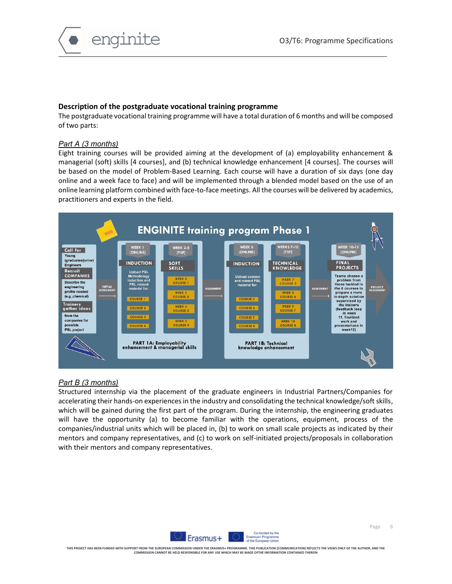

### **Description of the postgraduate vocational training programme**

The postgraduate vocational training programme will have a total duration of 6 months and will be composed of two parts:

### *Part A (3 months)*

Eight training courses will be provided aiming at the development of (a) employability enhancement & managerial (soft) skills [4 courses], and (b) technical knowledge enhancement [4 courses]. The courses will be based on the model of Problem-Based Learning. Each course will have a duration of six days (one day online and a week face to face) and will be implemented through a blended model based on the use of an online learning platform combined with face-to-face meetings. All the courses will be delivered by academics, practitioners and experts in the field.



### *Part B (3 months)*

Structured internship via the placement of the graduate engineers in Industrial Partners/Companies for accelerating their hands-on experiences in the industry and consolidating the technical knowledge/soft skills, which will be gained during the first part of the program. During the internship, the engineering graduates will have the opportunity (a) to become familiar with the operations, equipment, process of the companies/industrial units which will be placed in, (b) to work on small scale projects as indicated by their mentors and company representatives, and (c) to work on self-initiated projects/proposals in collaboration with their mentors and company representatives.

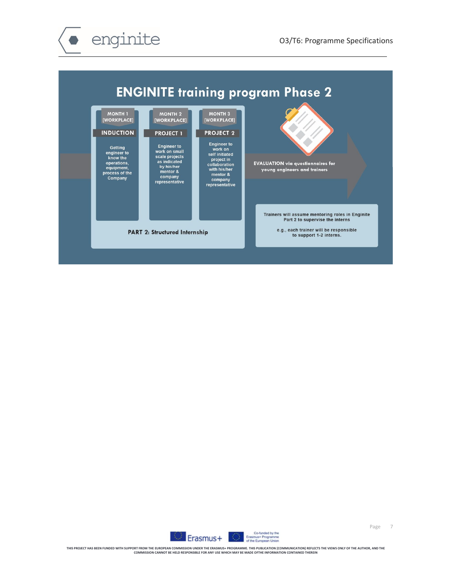



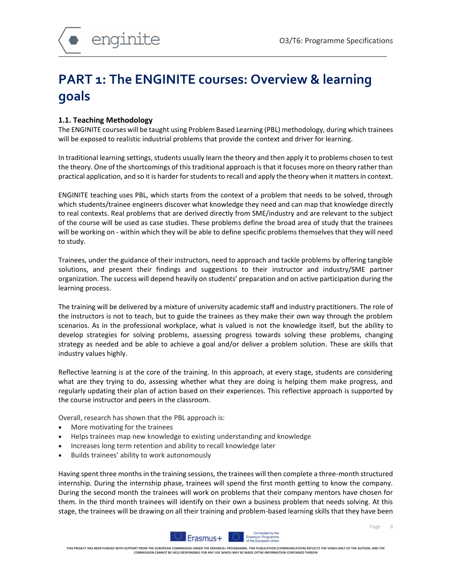### **PART 1: The ENGINITE courses: Overview & learning goals**

### **1.1. Teaching Methodology**

The ENGINITE courses will be taught using Problem Based Learning (PBL) methodology, during which trainees will be exposed to realistic industrial problems that provide the context and driver for learning.

In traditional learning settings, students usually learn the theory and then apply it to problems chosen to test the theory. One of the shortcomings of this traditional approach is that it focuses more on theory rather than practical application, and so it is harder for students to recall and apply the theory when it matters in context.

ENGINITE teaching uses PBL, which starts from the context of a problem that needs to be solved, through which students/trainee engineers discover what knowledge they need and can map that knowledge directly to real contexts. Real problems that are derived directly from SME/industry and are relevant to the subject of the course will be used as case studies. These problems define the broad area of study that the trainees will be working on - within which they will be able to define specific problems themselves that they will need to study.

Trainees, under the guidance of their instructors, need to approach and tackle problems by offering tangible solutions, and present their findings and suggestions to their instructor and industry/SME partner organization. The success will depend heavily on students' preparation and on active participation during the learning process.

The training will be delivered by a mixture of university academic staff and industry practitioners. The role of the instructors is not to teach, but to guide the trainees as they make their own way through the problem scenarios. As in the professional workplace, what is valued is not the knowledge itself, but the ability to develop strategies for solving problems, assessing progress towards solving these problems, changing strategy as needed and be able to achieve a goal and/or deliver a problem solution. These are skills that industry values highly.

Reflective learning is at the core of the training. In this approach, at every stage, students are considering what are they trying to do, assessing whether what they are doing is helping them make progress, and regularly updating their plan of action based on their experiences. This reflective approach is supported by the course instructor and peers in the classroom.

Overall, research has shown that the PBL approach is:

- More motivating for the trainees
- Helps trainees map new knowledge to existing understanding and knowledge
- Increases long term retention and ability to recall knowledge later
- Builds trainees' ability to work autonomously

Having spent three months in the training sessions, the trainees will then complete a three-month structured internship. During the internship phase, trainees will spend the first month getting to know the company. During the second month the trainees will work on problems that their company mentors have chosen for them. In the third month trainees will identify on their own a business problem that needs solving. At this stage, the trainees will be drawing on all their training and problem-based learning skills that they have been



Page 8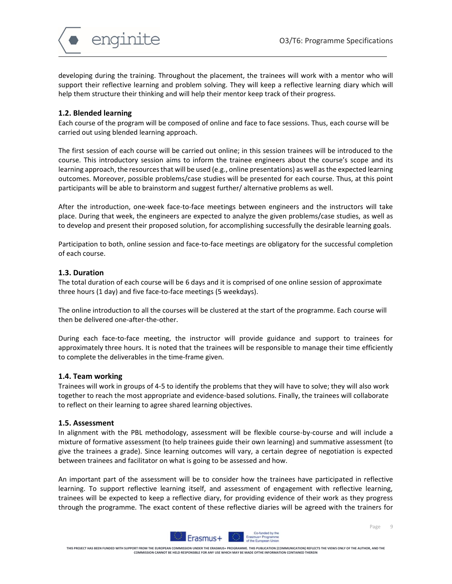

developing during the training. Throughout the placement, the trainees will work with a mentor who will support their reflective learning and problem solving. They will keep a reflective learning diary which will help them structure their thinking and will help their mentor keep track of their progress.

### **1.2. Blended learning**

Each course of the program will be composed of online and face to face sessions. Thus, each course will be carried out using blended learning approach.

The first session of each course will be carried out online; in this session trainees will be introduced to the course. This introductory session aims to inform the trainee engineers about the course's scope and its learning approach, the resources that will be used (e.g., online presentations) as well as the expected learning outcomes. Moreover, possible problems/case studies will be presented for each course. Thus, at this point participants will be able to brainstorm and suggest further/ alternative problems as well.

After the introduction, one-week face-to-face meetings between engineers and the instructors will take place. During that week, the engineers are expected to analyze the given problems/case studies, as well as to develop and present their proposed solution, for accomplishing successfully the desirable learning goals.

Participation to both, online session and face-to-face meetings are obligatory for the successful completion of each course.

### **1.3. Duration**

The total duration of each course will be 6 days and it is comprised of one online session of approximate three hours (1 day) and five face-to-face meetings (5 weekdays).

The online introduction to all the courses will be clustered at the start of the programme. Each course will then be delivered one-after-the-other.

During each face-to-face meeting, the instructor will provide guidance and support to trainees for approximately three hours. It is noted that the trainees will be responsible to manage their time efficiently to complete the deliverables in the time-frame given.

### **1.4. Team working**

Trainees will work in groups of 4-5 to identify the problems that they will have to solve; they will also work together to reach the most appropriate and evidence-based solutions. Finally, the trainees will collaborate to reflect on their learning to agree shared learning objectives.

### **1.5. Assessment**

In alignment with the PBL methodology, assessment will be flexible course-by-course and will include a mixture of formative assessment (to help trainees guide their own learning) and summative assessment (to give the trainees a grade). Since learning outcomes will vary, a certain degree of negotiation is expected between trainees and facilitator on what is going to be assessed and how.

An important part of the assessment will be to consider how the trainees have participated in reflective learning. To support reflective learning itself, and assessment of engagement with reflective learning, trainees will be expected to keep a reflective diary, for providing evidence of their work as they progress through the programme. The exact content of these reflective diaries will be agreed with the trainers for

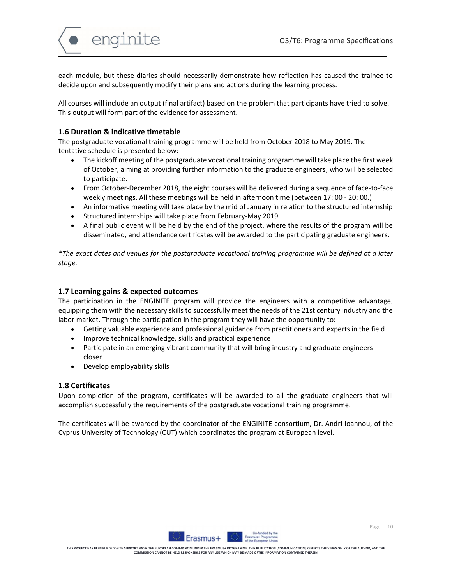

each module, but these diaries should necessarily demonstrate how reflection has caused the trainee to decide upon and subsequently modify their plans and actions during the learning process.

All courses will include an output (final artifact) based on the problem that participants have tried to solve. This output will form part of the evidence for assessment.

### **1.6 Duration & indicative timetable**

The postgraduate vocational training programme will be held from October 2018 to May 2019. The tentative schedule is presented below:

- The kickoff meeting of the postgraduate vocational training programme will take place the first week of October, aiming at providing further information to the graduate engineers, who will be selected to participate.
- From October-December 2018, the eight courses will be delivered during a sequence of face-to-face weekly meetings. All these meetings will be held in afternoon time (between 17: 00 - 20: 00.)
- An informative meeting will take place by the mid of January in relation to the structured internship
- Structured internships will take place from February-May 2019.
- A final public event will be held by the end of the project, where the results of the program will be disseminated, and attendance certificates will be awarded to the participating graduate engineers.

*\*The exact dates and venues for the postgraduate vocational training programme will be defined at a later stage.*

### **1.7 Learning gains & expected outcomes**

The participation in the ENGINITE program will provide the engineers with a competitive advantage, equipping them with the necessary skills to successfully meet the needs of the 21st century industry and the labor market. Through the participation in the program they will have the opportunity to:

- Getting valuable experience and professional guidance from practitioners and experts in the field
- Improve technical knowledge, skills and practical experience
- Participate in an emerging vibrant community that will bring industry and graduate engineers closer
- Develop employability skills

### **1.8 Certificates**

Upon completion of the program, certificates will be awarded to all the graduate engineers that will accomplish successfully the requirements of the postgraduate vocational training programme.

The certificates will be awarded by the coordinator of the ENGINITE consortium, Dr. Andri Ioannou, of the Cyprus University of Technology (CUT) which coordinates the program at European level.

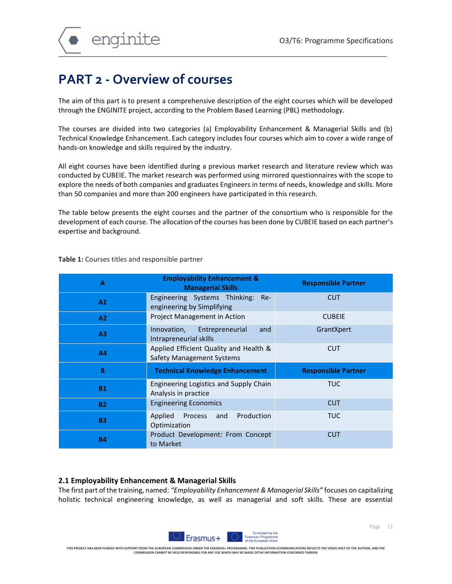enginite

### **PART 2 - Overview of courses**

The aim of this part is to present a comprehensive description of the eight courses which will be developed through the ENGINITE project, according to the Problem Based Learning (PBL) methodology.

The courses are divided into two categories (a) Employability Enhancement & Managerial Skills and (b) Technical Knowledge Enhancement. Each category includes four courses which aim to cover a wide range of hands-on knowledge and skills required by the industry.

All eight courses have been identified during a previous market research and literature review which was conducted by CUBEIE. The market research was performed using mirrored questionnaires with the scope to explore the needs of both companies and graduates Engineers in terms of needs, knowledge and skills. More than 50 companies and more than 200 engineers have participated in this research.

The table below presents the eight courses and the partner of the consortium who is responsible for the development of each course. The allocation of the courses has been done by CUBEIE based on each partner's expertise and background.

| A              | <b>Employability Enhancement &amp;</b><br><b>Managerial Skills</b>         | <b>Responsible Partner</b> |
|----------------|----------------------------------------------------------------------------|----------------------------|
| A <sub>1</sub> | Engineering Systems Thinking: Re-<br>engineering by Simplifying            | <b>CUT</b>                 |
| A2             | Project Management in Action                                               | <b>CUBEIE</b>              |
| A <sub>3</sub> | Innovation, Entrepreneurial<br>and<br>Intrapreneurial skills               | GrantXpert                 |
| A4             | Applied Efficient Quality and Health &<br><b>Safety Management Systems</b> | <b>CUT</b>                 |
| B              | <b>Technical Knowledge Enhancement</b>                                     | <b>Responsible Partner</b> |
| <b>B1</b>      | Engineering Logistics and Supply Chain<br>Analysis in practice             | TUC.                       |
| <b>B2</b>      | <b>Engineering Economics</b>                                               | <b>CUT</b>                 |
| <b>B3</b>      | Production<br>Process<br>Applied<br>and<br>Optimization                    | TUC.                       |
| <b>B4</b>      | Product Development: From Concept<br>to Market                             | <b>CUT</b>                 |

**Table 1:** Courses titles and responsible partner

### **2.1 Employability Enhancement & Managerial Skills**

The first part of the training, named: *"Employability Enhancement & Managerial Skills"* focuses on capitalizing holistic technical engineering knowledge, as well as managerial and soft skills. These are essential

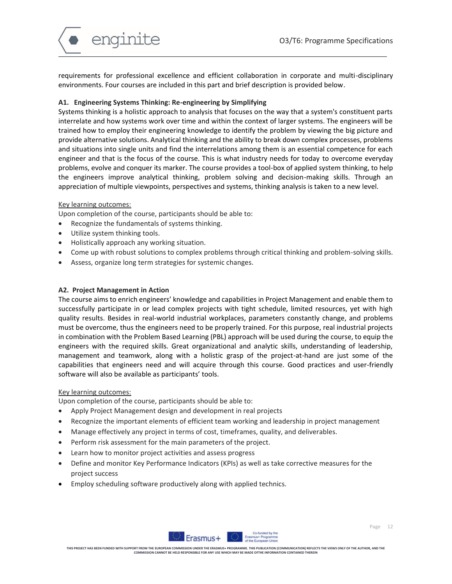

requirements for professional excellence and efficient collaboration in corporate and multi-disciplinary environments. Four courses are included in this part and brief description is provided below.

### **A1. Engineering Systems Thinking: Re-engineering by Simplifying**

Systems thinking is a holistic approach to analysis that focuses on the way that a system's constituent parts interrelate and how systems work over time and within the context of larger systems. The engineers will be trained how to employ their engineering knowledge to identify the problem by viewing the big picture and provide alternative solutions. Analytical thinking and the ability to break down complex processes, problems and situations into single units and find the interrelations among them is an essential competence for each engineer and that is the focus of the course. This is what industry needs for today to overcome everyday problems, evolve and conquer its marker. The course provides a tool-box of applied system thinking, to help the engineers improve analytical thinking, problem solving and decision-making skills. Through an appreciation of multiple viewpoints, perspectives and systems, thinking analysis is taken to a new level.

### Key learning outcomes:

Upon completion of the course, participants should be able to:

- Recognize the fundamentals of systems thinking.
- Utilize system thinking tools.
- Holistically approach any working situation.
- Come up with robust solutions to complex problems through critical thinking and problem-solving skills.
- Assess, organize long term strategies for systemic changes.

### **A2. Project Management in Action**

The course aims to enrich engineers' knowledge and capabilities in Project Management and enable them to successfully participate in or lead complex projects with tight schedule, limited resources, yet with high quality results. Besides in real-world industrial workplaces, parameters constantly change, and problems must be overcome, thus the engineers need to be properly trained. For this purpose, real industrial projects in combination with the Problem Based Learning (PBL) approach will be used during the course, to equip the engineers with the required skills. Great organizational and analytic skills, understanding of leadership, management and teamwork, along with a holistic grasp of the project-at-hand are just some of the capabilities that engineers need and will acquire through this course. Good practices and user-friendly software will also be available as participants' tools.

### Key learning outcomes:

Upon completion of the course, participants should be able to:

- Apply Project Management design and development in real projects
- Recognize the important elements of efficient team working and leadership in project management
- Manage effectively any project in terms of cost, timeframes, quality, and deliverables.
- Perform risk assessment for the main parameters of the project.
- Learn how to monitor project activities and assess progress
- Define and monitor Key Performance Indicators (KPIs) as well as take corrective measures for the project success
- Employ scheduling software productively along with applied technics.

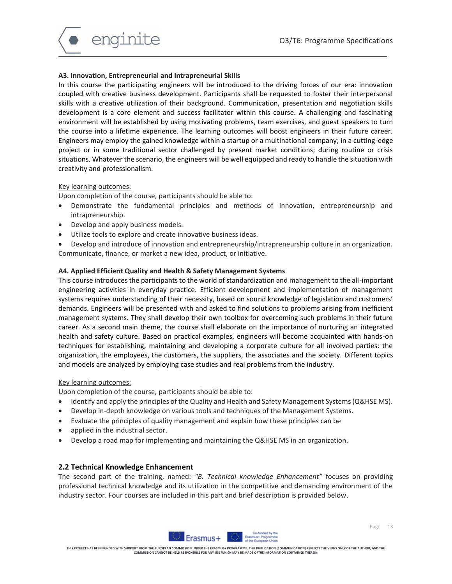

### **A3. Innovation, Entrepreneurial and Intrapreneurial Skills**

In this course the participating engineers will be introduced to the driving forces of our era: innovation coupled with creative business development. Participants shall be requested to foster their interpersonal skills with a creative utilization of their background. Communication, presentation and negotiation skills development is a core element and success facilitator within this course. A challenging and fascinating environment will be established by using motivating problems, team exercises, and guest speakers to turn the course into a lifetime experience. The learning outcomes will boost engineers in their future career. Engineers may employ the gained knowledge within a startup or a multinational company; in a cutting-edge project or in some traditional sector challenged by present market conditions; during routine or crisis situations. Whatever the scenario, the engineers will be well equipped and ready to handle the situation with creativity and professionalism.

### Key learning outcomes:

Upon completion of the course, participants should be able to:

- Demonstrate the fundamental principles and methods of innovation, entrepreneurship and intrapreneurship.
- Develop and apply business models.
- Utilize tools to explore and create innovative business ideas.
- Develop and introduce of innovation and entrepreneurship/intrapreneurship culture in an organization. Communicate, finance, or market a new idea, product, or initiative.

### **A4. Applied Efficient Quality and Health & Safety Management Systems**

This course introduces the participants to the world of standardization and management to the all-important engineering activities in everyday practice. Efficient development and implementation of management systems requires understanding of their necessity, based on sound knowledge of legislation and customers' demands. Engineers will be presented with and asked to find solutions to problems arising from inefficient management systems. They shall develop their own toolbox for overcoming such problems in their future career. As a second main theme, the course shall elaborate on the importance of nurturing an integrated health and safety culture. Based on practical examples, engineers will become acquainted with hands-on techniques for establishing, maintaining and developing a corporate culture for all involved parties: the organization, the employees, the customers, the suppliers, the associates and the society. Different topics and models are analyzed by employing case studies and real problems from the industry.

#### Key learning outcomes:

Upon completion of the course, participants should be able to:

- Identify and apply the principles of the Quality and Health and Safety Management Systems (Q&HSE MS).
- Develop in-depth knowledge on various tools and techniques of the Management Systems.
- Evaluate the principles of quality management and explain how these principles can be
- applied in the industrial sector.
- Develop a road map for implementing and maintaining the Q&HSE MS in an organization.

### **2.2 Technical Knowledge Enhancement**

The second part of the training, named: *"B. Technical knowledge Enhancement"* focuses on providing professional technical knowledge and its utilization in the competitive and demanding environment of the industry sector. Four courses are included in this part and brief description is provided below.

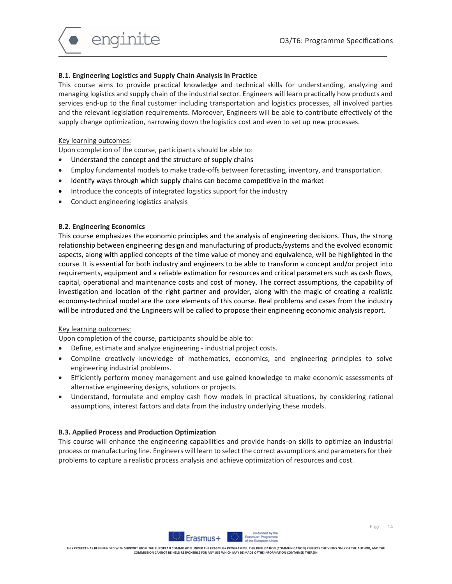

### **B.1. Engineering Logistics and Supply Chain Analysis in Practice**

This course aims to provide practical knowledge and technical skills for understanding, analyzing and managing logistics and supply chain of the industrial sector. Engineers will learn practically how products and services end-up to the final customer including transportation and logistics processes, all involved parties and the relevant legislation requirements. Moreover, Engineers will be able to contribute effectively of the supply change optimization, narrowing down the logistics cost and even to set up new processes.

#### Key learning outcomes:

Upon completion of the course, participants should be able to:

- Understand the concept and the structure of supply chains
- Employ fundamental models to make trade-offs between forecasting, inventory, and transportation.
- Identify ways through which supply chains can become competitive in the market
- Introduce the concepts of integrated logistics support for the industry
- Conduct engineering logistics analysis

#### **B.2. Engineering Economics**

This course emphasizes the economic principles and the analysis of engineering decisions. Thus, the strong relationship between engineering design and manufacturing of products/systems and the evolved economic aspects, along with applied concepts of the time value of money and equivalence, will be highlighted in the course. It is essential for both industry and engineers to be able to transform a concept and/or project into requirements, equipment and a reliable estimation for resources and critical parameters such as cash flows, capital, operational and maintenance costs and cost of money. The correct assumptions, the capability of investigation and location of the right partner and provider, along with the magic of creating a realistic economy-technical model are the core elements of this course. Real problems and cases from the industry will be introduced and the Engineers will be called to propose their engineering economic analysis report.

### Key learning outcomes:

Upon completion of the course, participants should be able to:

- Define, estimate and analyze engineering industrial project costs.
- Compline creatively knowledge of mathematics, economics, and engineering principles to solve engineering industrial problems.
- Efficiently perform money management and use gained knowledge to make economic assessments of alternative engineering designs, solutions or projects.
- Understand, formulate and employ cash flow models in practical situations, by considering rational assumptions, interest factors and data from the industry underlying these models.

### **B.3. Applied Process and Production Optimization**

This course will enhance the engineering capabilities and provide hands-on skills to optimize an industrial process or manufacturing line. Engineers will learn to select the correct assumptions and parameters for their problems to capture a realistic process analysis and achieve optimization of resources and cost.